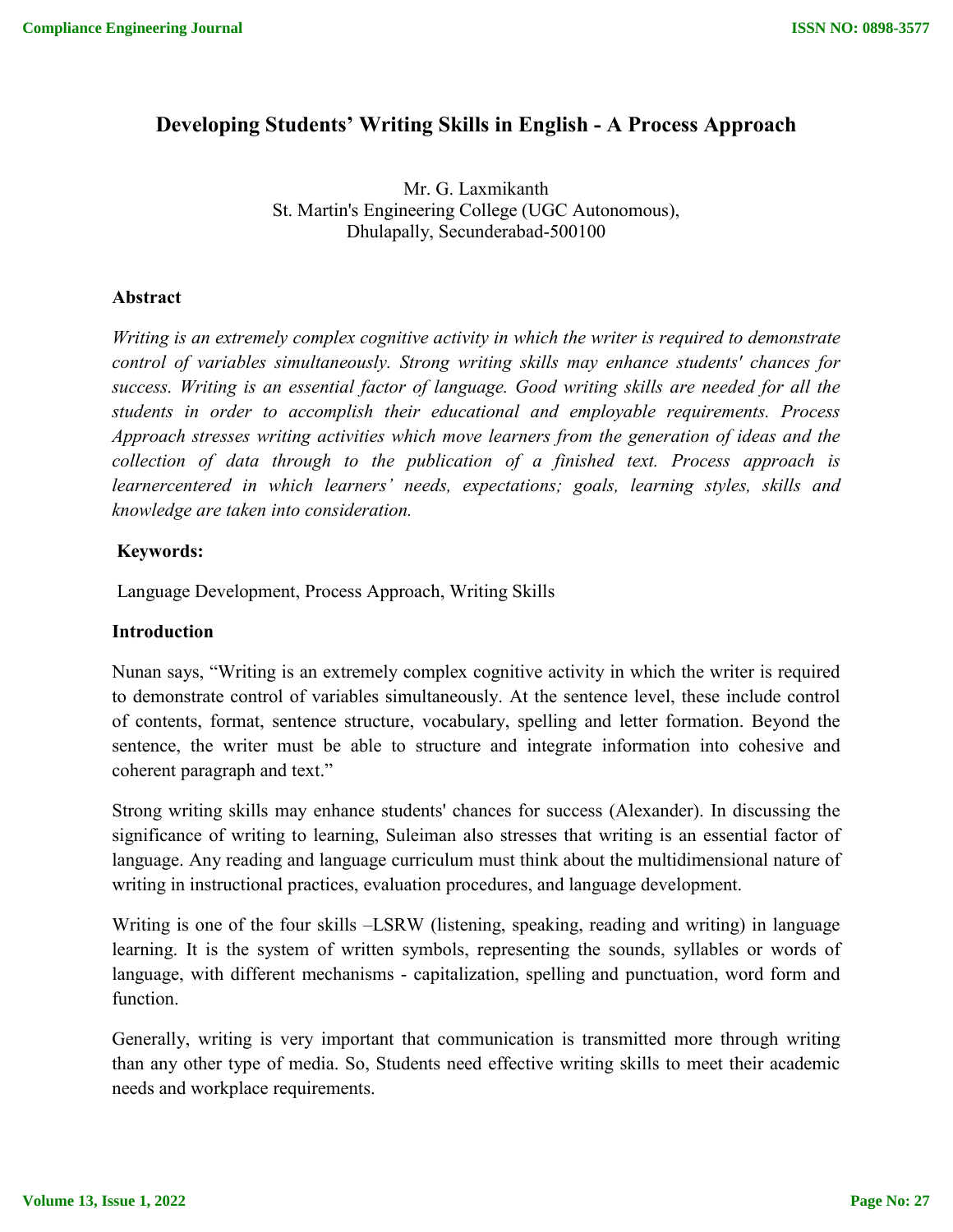# **Developing Students' Writing Skills in English - A Process Approach**

Mr. G. Laxmikanth St. Martin's Engineering College (UGC Autonomous), Dhulapally, Secunderabad-500100

### **Abstract**

*Writing is an extremely complex cognitive activity in which the writer is required to demonstrate control of variables simultaneously. Strong writing skills may enhance students' chances for success. Writing is an essential factor of language. Good writing skills are needed for all the students in order to accomplish their educational and employable requirements. Process Approach stresses writing activities which move learners from the generation of ideas and the collection of data through to the publication of a finished text. Process approach is learnercentered in which learners' needs, expectations; goals, learning styles, skills and knowledge are taken into consideration.*

## **Keywords:**

Language Development, Process Approach, Writing Skills

#### **Introduction**

Nunan says, "Writing is an extremely complex cognitive activity in which the writer is required to demonstrate control of variables simultaneously. At the sentence level, these include control of contents, format, sentence structure, vocabulary, spelling and letter formation. Beyond the sentence, the writer must be able to structure and integrate information into cohesive and coherent paragraph and text."

Strong writing skills may enhance students' chances for success (Alexander). In discussing the significance of writing to learning, Suleiman also stresses that writing is an essential factor of language. Any reading and language curriculum must think about the multidimensional nature of writing in instructional practices, evaluation procedures, and language development.

Writing is one of the four skills –LSRW (listening, speaking, reading and writing) in language learning. It is the system of written symbols, representing the sounds, syllables or words of language, with different mechanisms - capitalization, spelling and punctuation, word form and function.

Generally, writing is very important that communication is transmitted more through writing than any other type of media. So, Students need effective writing skills to meet their academic needs and workplace requirements.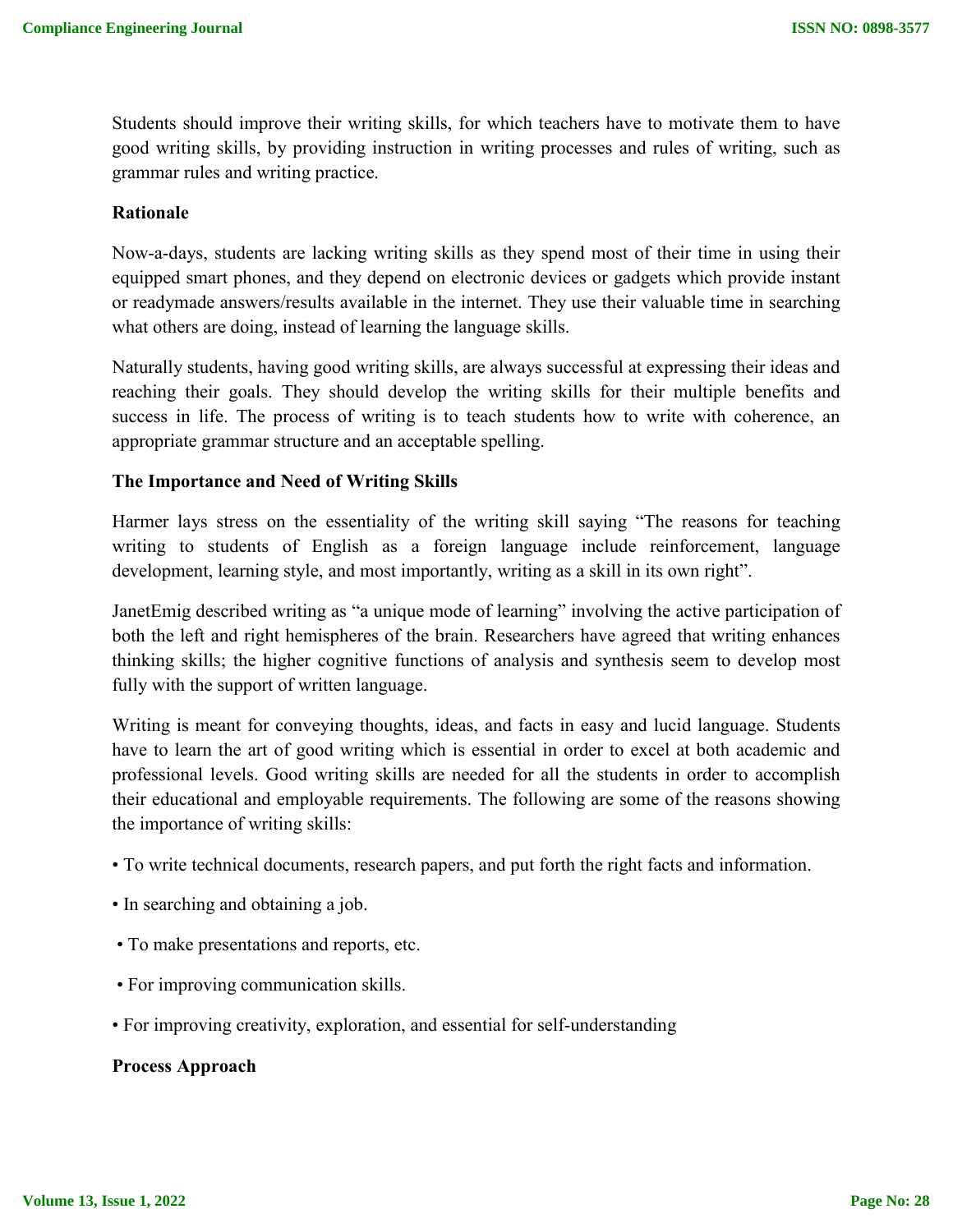Students should improve their writing skills, for which teachers have to motivate them to have good writing skills, by providing instruction in writing processes and rules of writing, such as grammar rules and writing practice.

### **Rationale**

Now-a-days, students are lacking writing skills as they spend most of their time in using their equipped smart phones, and they depend on electronic devices or gadgets which provide instant or readymade answers/results available in the internet. They use their valuable time in searching what others are doing, instead of learning the language skills.

Naturally students, having good writing skills, are always successful at expressing their ideas and reaching their goals. They should develop the writing skills for their multiple benefits and success in life. The process of writing is to teach students how to write with coherence, an appropriate grammar structure and an acceptable spelling.

### **The Importance and Need of Writing Skills**

Harmer lays stress on the essentiality of the writing skill saying "The reasons for teaching writing to students of English as a foreign language include reinforcement, language development, learning style, and most importantly, writing as a skill in its own right".

JanetEmig described writing as "a unique mode of learning" involving the active participation of both the left and right hemispheres of the brain. Researchers have agreed that writing enhances thinking skills; the higher cognitive functions of analysis and synthesis seem to develop most fully with the support of written language.

Writing is meant for conveying thoughts, ideas, and facts in easy and lucid language. Students have to learn the art of good writing which is essential in order to excel at both academic and professional levels. Good writing skills are needed for all the students in order to accomplish their educational and employable requirements. The following are some of the reasons showing the importance of writing skills:

- To write technical documents, research papers, and put forth the right facts and information.
- In searching and obtaining a job.
- To make presentations and reports, etc.
- For improving communication skills.
- For improving creativity, exploration, and essential for self-understanding

#### **Process Approach**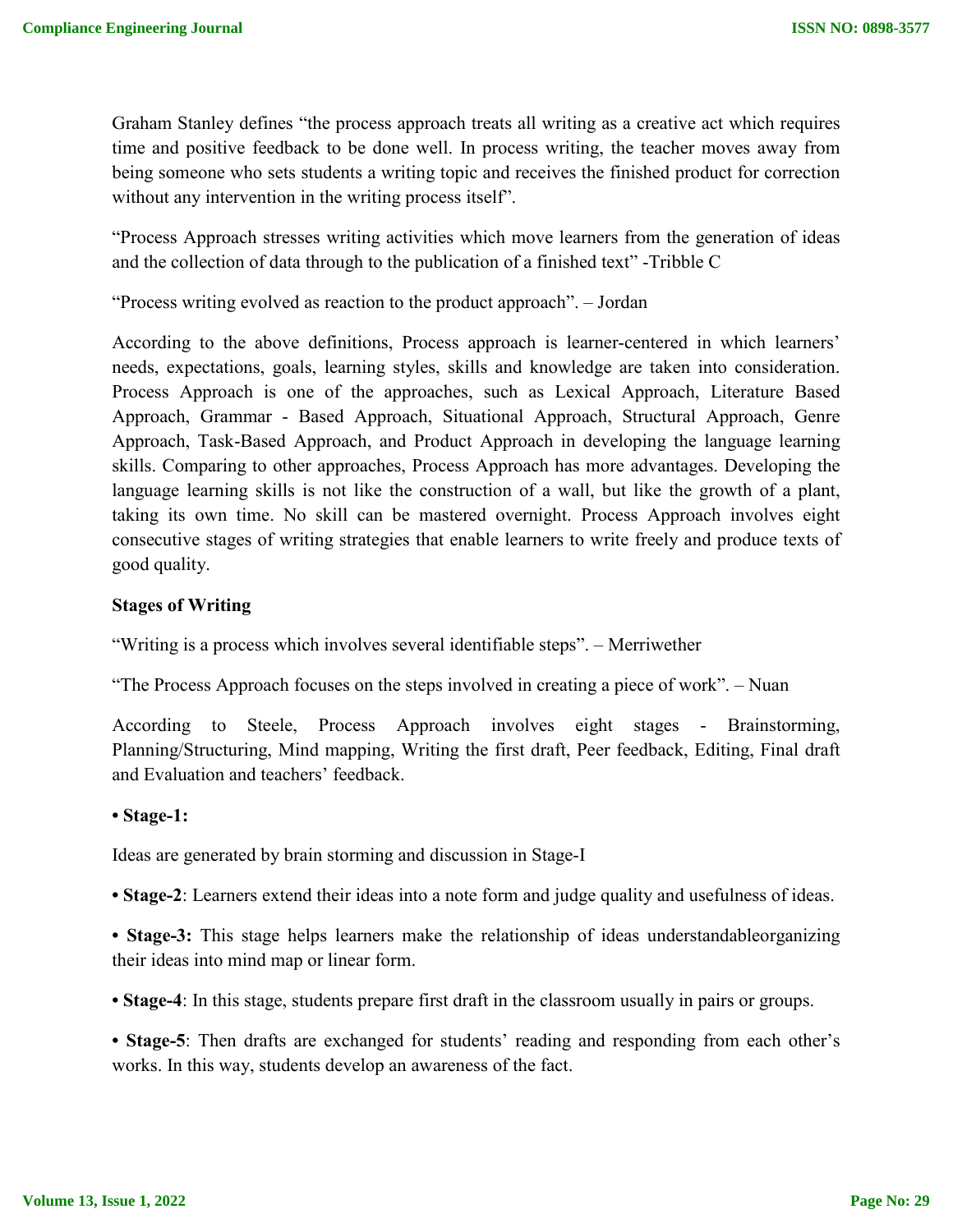Graham Stanley defines "the process approach treats all writing as a creative act which requires time and positive feedback to be done well. In process writing, the teacher moves away from being someone who sets students a writing topic and receives the finished product for correction without any intervention in the writing process itself".

"Process Approach stresses writing activities which move learners from the generation of ideas and the collection of data through to the publication of a finished text" -Tribble C

"Process writing evolved as reaction to the product approach". – Jordan

According to the above definitions, Process approach is learner-centered in which learners' needs, expectations, goals, learning styles, skills and knowledge are taken into consideration. Process Approach is one of the approaches, such as Lexical Approach, Literature Based Approach, Grammar - Based Approach, Situational Approach, Structural Approach, Genre Approach, Task-Based Approach, and Product Approach in developing the language learning skills. Comparing to other approaches, Process Approach has more advantages. Developing the language learning skills is not like the construction of a wall, but like the growth of a plant, taking its own time. No skill can be mastered overnight. Process Approach involves eight consecutive stages of writing strategies that enable learners to write freely and produce texts of good quality.

### **Stages of Writing**

"Writing is a process which involves several identifiable steps". – Merriwether

"The Process Approach focuses on the steps involved in creating a piece of work". – Nuan

According to Steele, Process Approach involves eight stages - Brainstorming, Planning/Structuring, Mind mapping, Writing the first draft, Peer feedback, Editing, Final draft and Evaluation and teachers' feedback.

#### **• Stage-1:**

Ideas are generated by brain storming and discussion in Stage-I

**• Stage-2**: Learners extend their ideas into a note form and judge quality and usefulness of ideas.

**• Stage-3:** This stage helps learners make the relationship of ideas understandableorganizing their ideas into mind map or linear form.

**• Stage-4**: In this stage, students prepare first draft in the classroom usually in pairs or groups.

**• Stage-5**: Then drafts are exchanged for students' reading and responding from each other's works. In this way, students develop an awareness of the fact.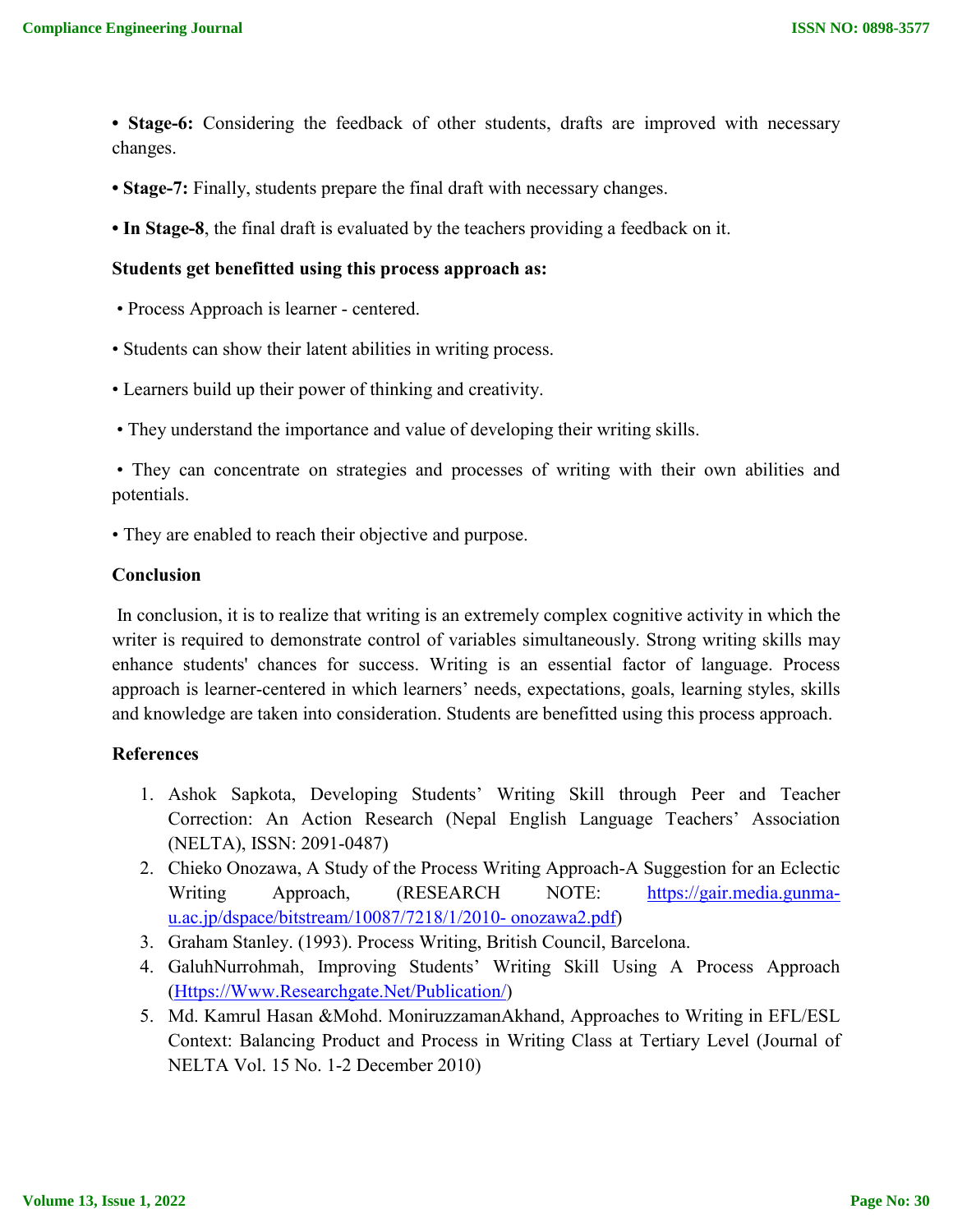- **Stage-6:** Considering the feedback of other students, drafts are improved with necessary changes.
- **Stage-7:** Finally, students prepare the final draft with necessary changes.
- **In Stage-8**, the final draft is evaluated by the teachers providing a feedback on it.

#### **Students get benefitted using this process approach as:**

- Process Approach is learner centered.
- Students can show their latent abilities in writing process.
- Learners build up their power of thinking and creativity.
- They understand the importance and value of developing their writing skills.

• They can concentrate on strategies and processes of writing with their own abilities and potentials.

• They are enabled to reach their objective and purpose.

## **Conclusion**

In conclusion, it is to realize that writing is an extremely complex cognitive activity in which the writer is required to demonstrate control of variables simultaneously. Strong writing skills may enhance students' chances for success. Writing is an essential factor of language. Process approach is learner-centered in which learners' needs, expectations, goals, learning styles, skills and knowledge are taken into consideration. Students are benefitted using this process approach.

#### **References**

- 1. Ashok Sapkota, Developing Students' Writing Skill through Peer and Teacher Correction: An Action Research (Nepal English Language Teachers' Association (NELTA), ISSN: 2091-0487)
- 2. Chieko Onozawa, A Study of the Process Writing Approach-A Suggestion for an Eclectic Writing Approach, (RESEARCH NOTE: https://gair.media.gunmau.ac.jp/dspace/bitstream/10087/7218/1/2010- onozawa2.pdf)
- 3. Graham Stanley. (1993). Process Writing, British Council, Barcelona.
- 4. GaluhNurrohmah, Improving Students' Writing Skill Using A Process Approach (Https://Www.Researchgate.Net/Publication/)
- 5. Md. Kamrul Hasan &Mohd. MoniruzzamanAkhand, Approaches to Writing in EFL/ESL Context: Balancing Product and Process in Writing Class at Tertiary Level (Journal of NELTA Vol. 15 No. 1-2 December 2010)